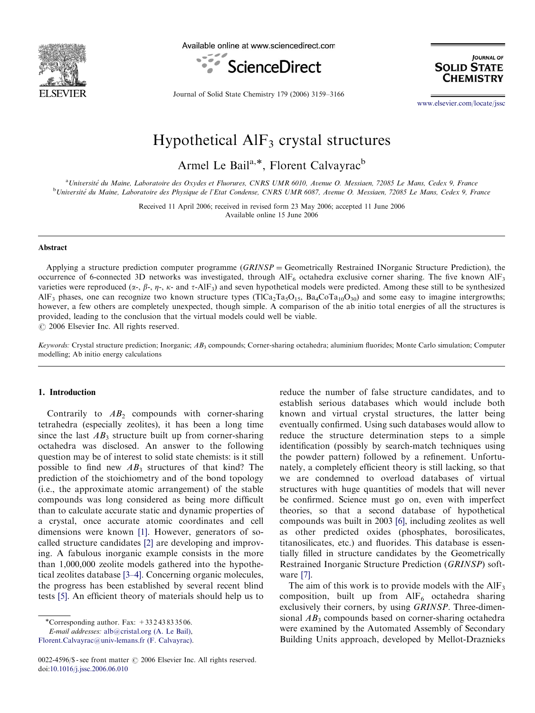

Available online at www.sciencedirect.com



**JOURNAL OF SOLID STATE CHEMISTRY** 

Journal of Solid State Chemistry 179 (2006) 3159–3166

<www.elsevier.com/locate/jssc>

# Hypothetical  $\text{AlF}_3$  crystal structures

Armel Le Bail<sup>a,\*</sup>, Florent Calvayrac<sup>b</sup>

<sup>a</sup>Université du Maine, Laboratoire des Oxydes et Fluorures, CNRS UMR 6010, Avenue O. Messiaen, 72085 Le Mans, Cedex 9, France <sup>b</sup>Université du Maine, Laboratoire des Physique de l'Etat Condense, CNRS UMR 6087, Avenue O. Messiaen, 72085 Le Mans, Cedex 9, France

> Received 11 April 2006; received in revised form 23 May 2006; accepted 11 June 2006 Available online 15 June 2006

### Abstract

Applying a structure prediction computer programme  $(GRINSP = Geometrically$  Restrained INorganic Structure Prediction), the occurrence of 6-connected 3D networks was investigated, through  $\text{AlF}_6$  octahedra exclusive corner sharing. The five known  $\text{AlF}_3$ varieties were reproduced ( $\alpha$ -,  $\beta$ -,  $\eta$ -,  $\kappa$ - and  $\tau$ -AlF<sub>3</sub>) and seven hypothetical models were predicted. Among these still to be synthesized AlF<sub>3</sub> phases, one can recognize two known structure types (TlCa<sub>2</sub>Ta<sub>5</sub>O<sub>15</sub>, Ba<sub>4</sub>CoTa<sub>10</sub>O<sub>30</sub>) and some easy to imagine intergrowths; however, a few others are completely unexpected, though simple. A comparison of the ab initio total energies of all the structures is provided, leading to the conclusion that the virtual models could well be viable.

 $\odot$  2006 Elsevier Inc. All rights reserved.

Keywords: Crystal structure prediction; Inorganic;  $AB_3$  compounds; Corner-sharing octahedra; aluminium fluorides; Monte Carlo simulation; Computer modelling; Ab initio energy calculations

## 1. Introduction

Contrarily to  $AB_2$  compounds with corner-sharing tetrahedra (especially zeolites), it has been a long time since the last  $AB_3$  structure built up from corner-sharing octahedra was disclosed. An answer to the following question may be of interest to solid state chemists: is it still possible to find new  $AB_3$  structures of that kind? The prediction of the stoichiometry and of the bond topology (i.e., the approximate atomic arrangement) of the stable compounds was long considered as being more difficult than to calculate accurate static and dynamic properties of a crystal, once accurate atomic coordinates and cell dimensions were known [\[1\]](#page-6-0). However, generators of socalled structure candidates [\[2\]](#page-6-0) are developing and improving. A fabulous inorganic example consists in the more than 1,000,000 zeolite models gathered into the hypothetical zeolites database [\[3–4\]](#page-6-0). Concerning organic molecules, the progress has been established by several recent blind tests [\[5\].](#page-6-0) An efficient theory of materials should help us to

E-mail addresses: [alb@cristal.org \(A. Le Bail\),](mailto:alb@cristal.org)

reduce the number of false structure candidates, and to establish serious databases which would include both known and virtual crystal structures, the latter being eventually confirmed. Using such databases would allow to reduce the structure determination steps to a simple identification (possibly by search-match techniques using the powder pattern) followed by a refinement. Unfortunately, a completely efficient theory is still lacking, so that we are condemned to overload databases of virtual structures with huge quantities of models that will never be confirmed. Science must go on, even with imperfect theories, so that a second database of hypothetical compounds was built in 2003 [\[6\],](#page-6-0) including zeolites as well as other predicted oxides (phosphates, borosilicates, titanosilicates, etc.) and fluorides. This database is essentially filled in structure candidates by the Geometrically Restrained Inorganic Structure Prediction (GRINSP) software [\[7\].](#page-6-0)

The aim of this work is to provide models with the  $AIF<sub>3</sub>$ composition, built up from  $\text{AlF}_6$  octahedra sharing exclusively their corners, by using GRINSP. Three-dimensional  $AB_3$  compounds based on corner-sharing octahedra were examined by the Automated Assembly of Secondary Building Units approach, developed by Mellot-Draznieks

<sup>\*</sup>Corresponding author. Fax:  $+33243833506$ .

[Florent.Calvayrac@univ-lemans.fr \(F. Calvayrac\).](mailto:Florent.Calvayrac@univ-lemans.fr)

<sup>0022-4596/\$ -</sup> see front matter  $\odot$  2006 Elsevier Inc. All rights reserved. doi:[10.1016/j.jssc.2006.06.010](dx.doi.org/10.1016/j.jssc.2006.06.010)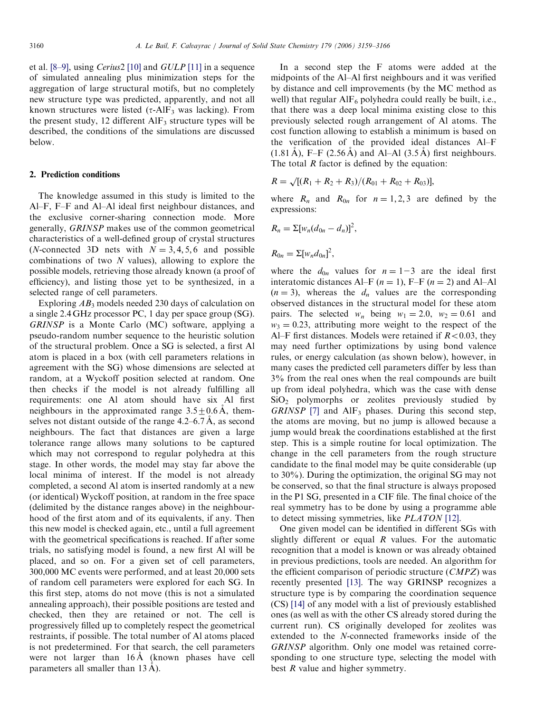et al. [\[8–9\],](#page-6-0) using Cerius2 [\[10\]](#page-6-0) and GULP [\[11\]](#page-6-0) in a sequence of simulated annealing plus minimization steps for the aggregation of large structural motifs, but no completely new structure type was predicted, apparently, and not all known structures were listed ( $\tau$ -AlF<sub>3</sub> was lacking). From the present study, 12 different  $\text{AlF}_3$  structure types will be described, the conditions of the simulations are discussed below.

#### 2. Prediction conditions

The knowledge assumed in this study is limited to the Al–F, F–F and Al–Al ideal first neighbour distances, and the exclusive corner-sharing connection mode. More generally, GRINSP makes use of the common geometrical characteristics of a well-defined group of crystal structures (*N*-connected 3D nets with  $N = 3, 4, 5, 6$  and possible combinations of two  $N$  values), allowing to explore the possible models, retrieving those already known (a proof of efficiency), and listing those yet to be synthesized, in a selected range of cell parameters.

Exploring  $AB_3$  models needed 230 days of calculation on a single 2.4 GHz processor PC, 1 day per space group (SG). GRINSP is a Monte Carlo (MC) software, applying a pseudo-random number sequence to the heuristic solution of the structural problem. Once a SG is selected, a first Al atom is placed in a box (with cell parameters relations in agreement with the SG) whose dimensions are selected at random, at a Wyckoff position selected at random. One then checks if the model is not already fulfilling all requirements: one Al atom should have six Al first neighbours in the approximated range  $3.5+0.6$  Å, themselves not distant outside of the range  $4.2-6.7 \text{ Å}$ , as second neighbours. The fact that distances are given a large tolerance range allows many solutions to be captured which may not correspond to regular polyhedra at this stage. In other words, the model may stay far above the local minima of interest. If the model is not already completed, a second Al atom is inserted randomly at a new (or identical) Wyckoff position, at random in the free space (delimited by the distance ranges above) in the neighbourhood of the first atom and of its equivalents, if any. Then this new model is checked again, etc., until a full agreement with the geometrical specifications is reached. If after some trials, no satisfying model is found, a new first Al will be placed, and so on. For a given set of cell parameters, 300,000 MC events were performed, and at least 20,000 sets of random cell parameters were explored for each SG. In this first step, atoms do not move (this is not a simulated annealing approach), their possible positions are tested and checked, then they are retained or not. The cell is progressively filled up to completely respect the geometrical restraints, if possible. The total number of Al atoms placed is not predetermined. For that search, the cell parameters were not larger than 16Å (known phases have cell parameters all smaller than  $13 \AA$ ).

In a second step the F atoms were added at the midpoints of the Al–Al first neighbours and it was verified by distance and cell improvements (by the MC method as well) that regular  $\text{AlF}_6$  polyhedra could really be built, i.e., that there was a deep local minima existing close to this previously selected rough arrangement of Al atoms. The cost function allowing to establish a minimum is based on the verification of the provided ideal distances Al–F  $(1.81 \text{ Å})$ , F–F  $(2.56 \text{ Å})$  and Al–Al  $(3.5 \text{ Å})$  first neighbours. The total *R* factor is defined by the equation:

$$
R=\sqrt{[(R_1+R_2+R_3)/(R_{01}+R_{02}+R_{03})]}
$$

,

where  $R_n$  and  $R_{0n}$  for  $n = 1, 2, 3$  are defined by the expressions:

$$
R_n = \Sigma [w_n(d_{0n} - d_n)]^2
$$

$$
R_{0n}=\Sigma[w_nd_{0n}]^2,
$$

where the  $d_{0n}$  values for  $n = 1-3$  are the ideal first interatomic distances Al–F  $(n = 1)$ , F–F  $(n = 2)$  and Al–Al  $(n = 3)$ , whereas the  $d_n$  values are the corresponding observed distances in the structural model for these atom pairs. The selected  $w_n$  being  $w_1 = 2.0$ ,  $w_2 = 0.61$  and  $w_3 = 0.23$ , attributing more weight to the respect of the Al–F first distances. Models were retained if  $R < 0.03$ , they may need further optimizations by using bond valence rules, or energy calculation (as shown below), however, in many cases the predicted cell parameters differ by less than 3% from the real ones when the real compounds are built up from ideal polyhedra, which was the case with dense  $SiO<sub>2</sub>$  polymorphs or zeolites previously studied by GRINSP [\[7\]](#page-6-0) and AlF<sub>3</sub> phases. During this second step, the atoms are moving, but no jump is allowed because a jump would break the coordinations established at the first step. This is a simple routine for local optimization. The change in the cell parameters from the rough structure candidate to the final model may be quite considerable (up to 30%). During the optimization, the original SG may not be conserved, so that the final structure is always proposed in the P1 SG, presented in a CIF file. The final choice of the real symmetry has to be done by using a programme able to detect missing symmetries, like PLATON [\[12\]](#page-6-0).

One given model can be identified in different SGs with slightly different or equal  $R$  values. For the automatic recognition that a model is known or was already obtained in previous predictions, tools are needed. An algorithm for the efficient comparison of periodic structure (CMPZ) was recently presented [\[13\].](#page-6-0) The way GRINSP recognizes a structure type is by comparing the coordination sequence (CS) [\[14\]](#page-6-0) of any model with a list of previously established ones (as well as with the other CS already stored during the current run). CS originally developed for zeolites was extended to the N-connected frameworks inside of the GRINSP algorithm. Only one model was retained corresponding to one structure type, selecting the model with best R value and higher symmetry.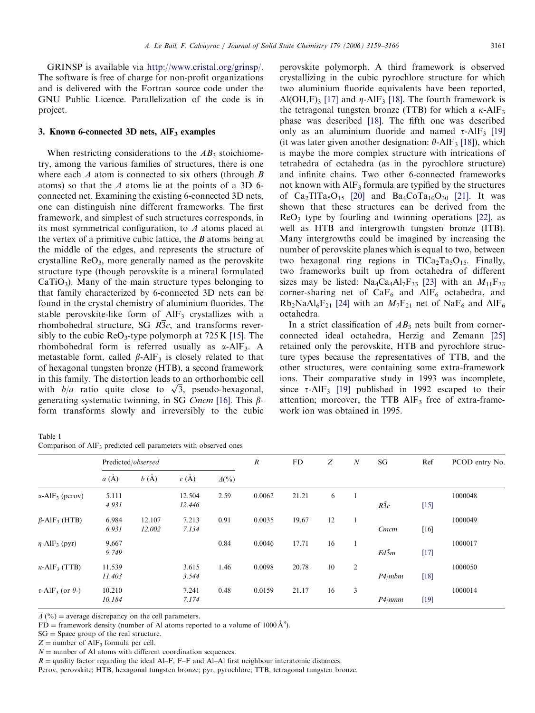<span id="page-2-0"></span>GRINSP is available via [http://www.cristal.org/grinsp/.](http://www.cristal.org/grinsp/) The software is free of charge for non-profit organizations and is delivered with the Fortran source code under the GNU Public Licence. Parallelization of the code is in project.

# 3. Known 6-connected 3D nets,  $\text{AlF}_3$  examples

When restricting considerations to the  $AB_3$  stoichiometry, among the various families of structures, there is one where each  $\vec{A}$  atom is connected to six others (through  $\vec{B}$ atoms) so that the A atoms lie at the points of a 3D 6 connected net. Examining the existing 6-connected 3D nets, one can distinguish nine different frameworks. The first framework, and simplest of such structures corresponds, in its most symmetrical configuration, to A atoms placed at the vertex of a primitive cubic lattice, the B atoms being at the middle of the edges, and represents the structure of crystalline  $\text{ReO}_3$ , more generally named as the perovskite structure type (though perovskite is a mineral formulated  $CaTiO<sub>3</sub>$ ). Many of the main structure types belonging to that family characterized by 6-connected 3D nets can be found in the crystal chemistry of aluminium fluorides. The stable perovskite-like form of  $AIF_3$  crystallizes with a rhombohedral structure, SG  $R\overline{3}c$ , and transforms reversibly to the cubic  $\text{ReO}_3$ -type polymorph at 725 K [\[15\]](#page-6-0). The rhombohedral form is referred usually as  $\alpha$ -AlF<sub>3</sub>. A metastable form, called  $\beta$ -AlF<sub>3</sub> is closely related to that of hexagonal tungsten bronze (HTB), a second framework in this family. The distortion leads to an orthorhombic cell in this family. The distortion leads to an orthornombic cell<br>with  $b/a$  ratio quite close to  $\sqrt{3}$ , pseudo-hexagonal, generating systematic twinning, in SG Cmcm [\[16\]](#page-6-0). This  $\beta$ form transforms slowly and irreversibly to the cubic

Table 1 Comparison of  $AIF_3$  predicted cell parameters with observed ones

perovskite polymorph. A third framework is observed crystallizing in the cubic pyrochlore structure for which two aluminium fluoride equivalents have been reported, Al(OH,F)<sub>3</sub> [\[17\]](#page-6-0) and  $\eta$ -AlF<sub>3</sub> [\[18\]](#page-7-0). The fourth framework is the tetragonal tungsten bronze (TTB) for which a  $\kappa$ -AlF<sub>3</sub> phase was described [\[18\].](#page-7-0) The fifth one was described only as an aluminium fluoride and named  $\tau$ -AlF<sub>3</sub> [\[19\]](#page-7-0) (it was later given another designation:  $\theta$ -AlF<sub>3</sub> [\[18\]](#page-7-0)), which is maybe the more complex structure with intrications of tetrahedra of octahedra (as in the pyrochlore structure) and infinite chains. Two other 6-connected frameworks not known with  $\text{AIF}_3$  formula are typified by the structures of  $Ca_2T1Ta_5O_{15}$  [\[20\]](#page-7-0) and  $Ba_4CoTa_{10}O_{30}$  [\[21\]](#page-7-0). It was shown that these structures can be derived from the  $ReO<sub>3</sub>$  type by fourling and twinning operations [\[22\]](#page-7-0), as well as HTB and intergrowth tungsten bronze (ITB). Many intergrowths could be imagined by increasing the number of perovskite planes which is equal to two, between two hexagonal ring regions in  $TlCa<sub>2</sub>Ta<sub>5</sub>O<sub>15</sub>$ . Finally, two frameworks built up from octahedra of different sizes may be listed:  $Na_4Ca_4Al_7F_{33}$  [\[23\]](#page-7-0) with an  $M_{11}F_{33}$ corner-sharing net of  $CaF_6$  and  $AlF_6$  octahedra, and  $Rb_2NAA|_6F_{21}$  [\[24\]](#page-7-0) with an  $M_7F_{21}$  net of Na $F_6$  and AlF<sub>6</sub> octahedra.

In a strict classification of  $AB_3$  nets built from cornerconnected ideal octahedra, Herzig and Zemann [\[25\]](#page-7-0) retained only the perovskite, HTB and pyrochlore structure types because the representatives of TTB, and the other structures, were containing some extra-framework ions. Their comparative study in 1993 was incomplete, since  $\tau$ -AlF<sub>3</sub> [\[19\]](#page-7-0) published in 1992 escaped to their attention; moreover, the TTB  $AIF_3$  free of extra-framework ion was obtained in 1995.

|                                          | Predicted/observed |        |        |                            | $\boldsymbol{R}$ | <b>FD</b> | Z  | $\boldsymbol{N}$ | SG           | Ref    | PCOD entry No. |
|------------------------------------------|--------------------|--------|--------|----------------------------|------------------|-----------|----|------------------|--------------|--------|----------------|
|                                          | $a(\AA)$           | b(A)   | c(A)   | $\overline{\varDelta}(\%)$ |                  |           |    |                  |              |        |                |
| $\alpha$ -AlF <sub>3</sub> (perov)       | 5.111              |        | 12.504 | 2.59                       | 0.0062           | 21.21     | 6  |                  |              |        | 1000048        |
|                                          | 4.931              |        | 12.446 |                            |                  |           |    |                  | $R\bar{3}c$  | $[15]$ |                |
| $\beta$ -AlF <sub>3</sub> (HTB)          | 6.984              | 12.107 | 7.213  | 0.91                       | 0.0035           | 19.67     | 12 | $\overline{1}$   |              |        | 1000049        |
|                                          | 6.931              | 12.002 | 7.134  |                            |                  |           |    |                  | Cmcm         | $[16]$ |                |
| $\eta$ -AlF <sub>3</sub> (pyr)           | 9.667              |        |        | 0.84                       | 0.0046           | 17.71     | 16 |                  |              |        | 1000017        |
|                                          | 9.749              |        |        |                            |                  |           |    |                  | $Fd\bar{3}m$ | $[17]$ |                |
| $\kappa$ -AlF <sub>3</sub> (TTB)         | 11.539             |        | 3.615  | 1.46                       | 0.0098           | 20.78     | 10 | $\overline{2}$   |              |        | 1000050        |
|                                          | 11.403             |        | 3.544  |                            |                  |           |    |                  | P4/mbm       | $[18]$ |                |
| $\tau$ -AlF <sub>3</sub> (or $\theta$ -) | 10.210             |        | 7.241  | 0.48                       | 0.0159           | 21.17     | 16 | 3                |              |        | 1000014        |
|                                          | 10.184             |        | 7.174  |                            |                  |           |    |                  | P4/nmm       | $[19]$ |                |

 $\overline{\Delta}$  (%) = average discrepancy on the cell parameters.

 $FD =$  framework density (number of Al atoms reported to a volume of 1000  $\AA$ <sup>3</sup>).

 $SG = Space group of the real structure.$ 

 $Z =$  number of AlF<sub>3</sub> formula per cell.

 $N =$  number of Al atoms with different coordination sequences.

 $R =$  quality factor regarding the ideal Al–F, F–F and Al–Al first neighbour interatomic distances.

Perov, perovskite; HTB, hexagonal tungsten bronze; pyr, pyrochlore; TTB, tetragonal tungsten bronze.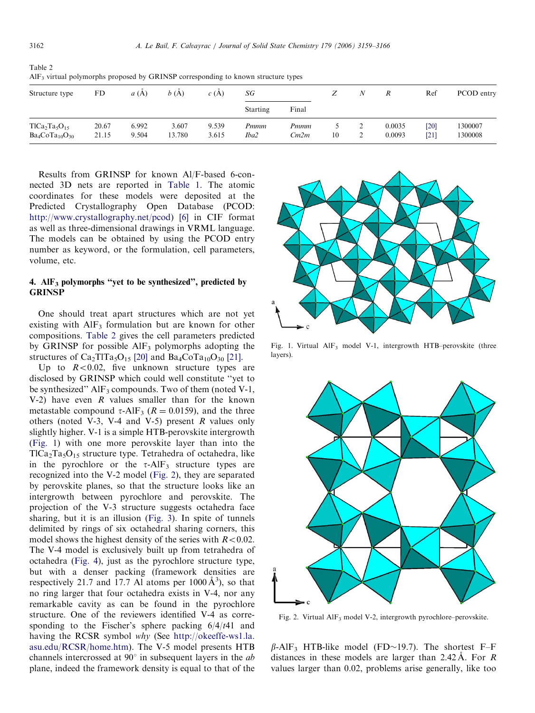| we have the second the second the second second state of $\mathbb{P}^n$ |                |                |                 |                |                 |              |    |   |                  |              |                    |
|-------------------------------------------------------------------------|----------------|----------------|-----------------|----------------|-----------------|--------------|----|---|------------------|--------------|--------------------|
| Structure type                                                          | FD             | a(A)           | b(A)            | c(A)           | SG              |              | N  | R | Ref              | PCOD entry   |                    |
|                                                                         |                |                |                 |                | <b>Starting</b> | Final        |    |   |                  |              |                    |
| $T1Ca2Ta5O15$<br>$Ba_4CoTa_{10}O_{30}$                                  | 20.67<br>21.15 | 6.992<br>9.504 | 3.607<br>13.780 | 9.539<br>3.615 | Pmmm<br>Iba2    | Pmmm<br>Cm2m | 10 |   | 0.0035<br>0.0093 | [20]<br>[21] | 1300007<br>1300008 |

Table 2 AlF3 virtual polymorphs proposed by GRINSP corresponding to known structure types

Results from GRINSP for known Al/F-based 6-connected 3D nets are reported in [Table 1.](#page-2-0) The atomic coordinates for these models were deposited at the Predicted Crystallography Open Database (PCOD: <http://www.crystallography.net/pcod>) [\[6\]](#page-6-0) in CIF format as well as three-dimensional drawings in VRML language. The models can be obtained by using the PCOD entry number as keyword, or the formulation, cell parameters, volume, etc.

## 4. AlF3 polymorphs ''yet to be synthesized'', predicted by **GRINSP**

One should treat apart structures which are not yet existing with  $\text{AlF}_3$  formulation but are known for other compositions. Table 2 gives the cell parameters predicted by GRINSP for possible AlF3 polymorphs adopting the structures of  $Ca<sub>2</sub>TITa<sub>5</sub>O<sub>15</sub>$  [\[20\]](#page-7-0) and  $Ba<sub>4</sub>CoTa<sub>10</sub>O<sub>30</sub>$  [\[21\]](#page-7-0).

Up to  $R < 0.02$ , five unknown structure types are disclosed by GRINSP which could well constitute ''yet to be synthesized"  $\Delta I$ <sub>3</sub> compounds. Two of them (noted V-1, V-2) have even  $R$  values smaller than for the known metastable compound  $\tau$ -AlF<sub>3</sub> ( $R = 0.0159$ ), and the three others (noted V-3, V-4 and V-5) present  $R$  values only slightly higher. V-1 is a simple HTB-perovskite intergrowth (Fig. 1) with one more perovskite layer than into the  $TlCa<sub>2</sub>Ta<sub>5</sub>O<sub>15</sub>$  structure type. Tetrahedra of octahedra, like in the pyrochlore or the  $\tau$ -AlF<sub>3</sub> structure types are recognized into the V-2 model (Fig. 2), they are separated by perovskite planes, so that the structure looks like an intergrowth between pyrochlore and perovskite. The projection of the V-3 structure suggests octahedra face sharing, but it is an illusion [\(Fig. 3](#page-4-0)). In spite of tunnels delimited by rings of six octahedral sharing corners, this model shows the highest density of the series with  $R < 0.02$ . The V-4 model is exclusively built up from tetrahedra of octahedra ([Fig. 4](#page-4-0)), just as the pyrochlore structure type, but with a denser packing (framework densities are respectively 21.7 and 17.7 Al atoms per  $1000 \text{ Å}^3$ ), so that no ring larger that four octahedra exists in V-4, nor any remarkable cavity as can be found in the pyrochlore structure. One of the reviewers identified V-4 as corresponding to the Fischer's sphere packing 6/4/t41 and having the RCSR symbol why (See [http://okeeffe-ws1.la.](http://okeeffe-ws1.la.asu.edu/RCSR/home.htm) [asu.edu/RCSR/home.htm](http://okeeffe-ws1.la.asu.edu/RCSR/home.htm)). The V-5 model presents HTB channels intercrossed at  $90^{\circ}$  in subsequent layers in the *ab* plane, indeed the framework density is equal to that of the



Fig. 1. Virtual AlF<sub>3</sub> model V-1, intergrowth HTB–perovskite (three layers).



Fig. 2. Virtual AlF3 model V-2, intergrowth pyrochlore–perovskite.

 $\beta$ -AlF<sub>3</sub> HTB-like model (FD~19.7). The shortest F–F distances in these models are larger than  $2.42 \text{ Å}$ . For R values larger than 0.02, problems arise generally, like too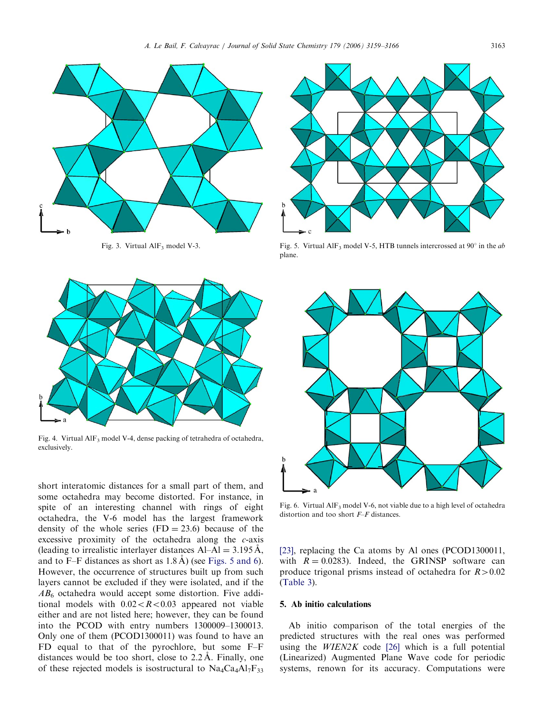<span id="page-4-0"></span>

Fig. 3. Virtual AlF<sub>3</sub> model V-3.



Fig. 4. Virtual AlF<sub>3</sub> model V-4, dense packing of tetrahedra of octahedra, exclusively.

short interatomic distances for a small part of them, and some octahedra may become distorted. For instance, in spite of an interesting channel with rings of eight octahedra, the V-6 model has the largest framework density of the whole series  $(FD = 23.6)$  because of the excessive proximity of the octahedra along the  $c$ -axis (leading to irrealistic interlayer distances  $AI-AI = 3.195 \text{ Å}$ , and to F–F distances as short as  $1.8 \text{ Å}$ ) (see Figs. 5 and 6). However, the occurrence of structures built up from such layers cannot be excluded if they were isolated, and if the  $AB<sub>6</sub>$  octahedra would accept some distortion. Five additional models with  $0.02 < R < 0.03$  appeared not viable either and are not listed here; however, they can be found into the PCOD with entry numbers 1300009–1300013. Only one of them (PCOD1300011) was found to have an FD equal to that of the pyrochlore, but some F–F distances would be too short, close to  $2.2 \text{ Å}$ . Finally, one of these rejected models is isostructural to  $\text{Na}_4\text{Ca}_4\text{Al}_7\text{F}_{33}$ 



Fig. 5. Virtual AlF<sub>3</sub> model V-5, HTB tunnels intercrossed at 90 $^{\circ}$  in the *ab* plane.



Fig. 6. Virtual AlF3 model V-6, not viable due to a high level of octahedra distortion and too short F–F distances.

[\[23\],](#page-7-0) replacing the Ca atoms by Al ones (PCOD1300011, with  $R = 0.0283$ ). Indeed, the GRINSP software can produce trigonal prisms instead of octahedra for  $R > 0.02$ ([Table 3](#page-5-0)).

### 5. Ab initio calculations

Ab initio comparison of the total energies of the predicted structures with the real ones was performed using the  $WIEN2K$  code [\[26\]](#page-7-0) which is a full potential (Linearized) Augmented Plane Wave code for periodic systems, renown for its accuracy. Computations were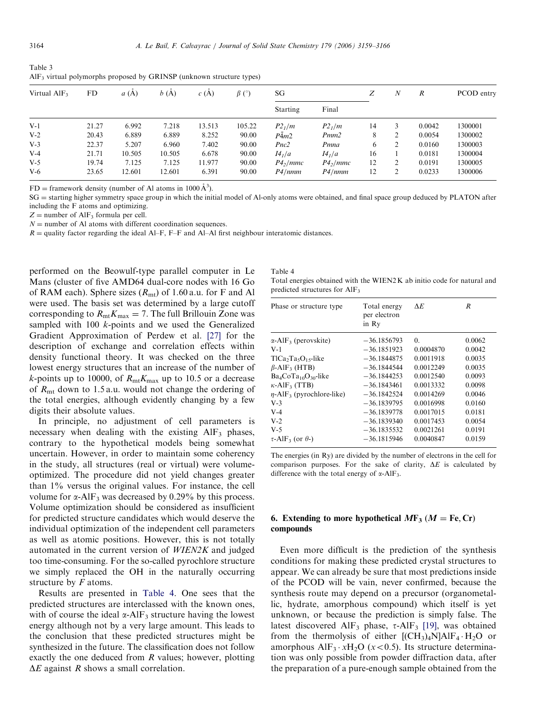| All'3 virtual polymorphs proposed by <b>ONITSP</b> (unknown structure types) |       |        |        |        |             |                        |                        |    |                  |                  |            |
|------------------------------------------------------------------------------|-------|--------|--------|--------|-------------|------------------------|------------------------|----|------------------|------------------|------------|
| Virtual AlF <sub>3</sub>                                                     | FD    | a(A)   | b(A)   | c(A)   | $\beta$ (°) | SG                     |                        |    | $\boldsymbol{N}$ | $\boldsymbol{R}$ | PCOD entry |
|                                                                              |       |        |        |        |             | Starting               | Final                  |    |                  |                  |            |
| $V-1$                                                                        | 21.27 | 6.992  | 7.218  | 13.513 | 105.22      | P2 <sub>1</sub> /m     | $P2_l/m$               | 14 |                  | 0.0042           | 1300001    |
| $V-2$                                                                        | 20.43 | 6.889  | 6.889  | 8.252  | 90.00       | P4m2                   | Pmm2                   | 8  |                  | 0.0054           | 1300002    |
| $V-3$                                                                        | 22.37 | 5.207  | 6.960  | 7.402  | 90.00       | Pnc2                   | Pmna                   | 6  |                  | 0.0160           | 1300003    |
| $V-4$                                                                        | 21.71 | 10.505 | 10.505 | 6.678  | 90.00       | I4 <sub>1</sub> /a     | I4 <sub>1</sub> /a     | 16 |                  | 0.0181           | 1300004    |
| $V-5$                                                                        | 19.74 | 7.125  | 7.125  | 11.977 | 90.00       | $P4$ <sub>2</sub> /mmc | $P4$ <sub>2</sub> /mmc | 12 |                  | 0.0191           | 1300005    |
| V-6                                                                          | 23.65 | 12.601 | 12.601 | 6.391  | 90.00       | P4/nmm                 | P4/nmm                 | 12 |                  | 0.0233           | 1300006    |
|                                                                              |       |        |        |        |             |                        |                        |    |                  |                  |            |

<span id="page-5-0"></span>Table 3  $\Delta l$ <sub>E</sub> virtual polymorphs proposed by  $\widehat{GRINSD}$  (unknown structure types)

 $FD =$  framework density (number of Al atoms in 1000  $\AA^3$ ).

SG = starting higher symmetry space group in which the initial model of Al-only atoms were obtained, and final space group deduced by PLATON after including the F atoms and optimizing.

 $Z$  = number of AlF<sub>3</sub> formula per cell.

 $N =$  number of Al atoms with different coordination sequences.

 $R =$  quality factor regarding the ideal Al–F, F–F and Al–Al first neighbour interatomic distances.

performed on the Beowulf-type parallel computer in Le Mans (cluster of five AMD64 dual-core nodes with 16 Go of RAM each). Sphere sizes  $(R<sub>mt</sub>)$  of 1.60 a.u. for F and Al were used. The basis set was determined by a large cutoff corresponding to  $R_{\rm mt}K_{\rm max} = 7$ . The full Brillouin Zone was sampled with 100 k-points and we used the Generalized Gradient Approximation of Perdew et al. [\[27\]](#page-7-0) for the description of exchange and correlation effects within density functional theory. It was checked on the three lowest energy structures that an increase of the number of k-points up to 10000, of  $R_{mt}K_{max}$  up to 10.5 or a decrease of  $R<sub>mt</sub>$  down to 1.5 a.u. would not change the ordering of the total energies, although evidently changing by a few digits their absolute values.

In principle, no adjustment of cell parameters is necessary when dealing with the existing  $\text{AlF}_3$  phases, contrary to the hypothetical models being somewhat uncertain. However, in order to maintain some coherency in the study, all structures (real or virtual) were volumeoptimized. The procedure did not yield changes greater than 1% versus the original values. For instance, the cell volume for  $\alpha$ -AlF<sub>3</sub> was decreased by 0.29% by this process. Volume optimization should be considered as insufficient for predicted structure candidates which would deserve the individual optimization of the independent cell parameters as well as atomic positions. However, this is not totally automated in the current version of WIEN2K and judged too time-consuming. For the so-called pyrochlore structure we simply replaced the OH in the naturally occurring structure by F atoms.

Results are presented in Table 4. One sees that the predicted structures are interclassed with the known ones, with of course the ideal  $\alpha$ -AlF<sub>3</sub> structure having the lowest energy although not by a very large amount. This leads to the conclusion that these predicted structures might be synthesized in the future. The classification does not follow exactly the one deduced from  $R$  values; however, plotting  $\Delta E$  against R shows a small correlation.

Table 4 Total energies obtained with the WIEN2 K ab initio code for natural and

| predicted structures for $\text{AlF}_3$    |                                       |            |        |  |  |  |  |  |
|--------------------------------------------|---------------------------------------|------------|--------|--|--|--|--|--|
| Phase or structure type                    | Total energy<br>per electron<br>in Ry | ΔΕ         | R      |  |  |  |  |  |
| $\alpha$ -AlF <sub>3</sub> (perovskite)    | $-36.1856793$                         | $\theta$ . | 0.0062 |  |  |  |  |  |
| $V-1$                                      | $-36.1851923$                         | 0.0004870  | 0.0042 |  |  |  |  |  |
| $T1Ca2Ta5O15$ -like                        | $-36.1844875$                         | 0.0011918  | 0.0035 |  |  |  |  |  |
| $\beta$ -AlF <sub>3</sub> (HTB)            | $-36.1844544$                         | 0.0012249  | 0.0035 |  |  |  |  |  |
| $Ba_4CoTa_{10}O_{30}$ -like                | $-36.1844253$                         | 0.0012540  | 0.0093 |  |  |  |  |  |
| $\kappa$ -AlF <sub>3</sub> (TTB)           | $-36.1843461$                         | 0.0013332  | 0.0098 |  |  |  |  |  |
| $\eta$ -AlF <sub>3</sub> (pyrochlore-like) | $-36.1842524$                         | 0.0014269  | 0.0046 |  |  |  |  |  |
| $V-3$                                      | $-36.1839795$                         | 0.0016998  | 0.0160 |  |  |  |  |  |
| $V-4$                                      | $-36.1839778$                         | 0.0017015  | 0.0181 |  |  |  |  |  |
| $V-2$                                      | $-36.1839340$                         | 0.0017453  | 0.0054 |  |  |  |  |  |
| $V-5$                                      | $-36.1835532$                         | 0.0021261  | 0.0191 |  |  |  |  |  |
| $\tau$ -AIF, (or $\theta$ )                | $-361815946$                          | 0.0040847  | 0.0159 |  |  |  |  |  |

 $\tau$ -AlF<sub>3</sub> (or  $\theta$ -) 36.1815946 0.0040847 0.0159 The energies (in Ry) are divided by the number of electrons in the cell for

comparison purposes. For the sake of clarity,  $\Delta E$  is calculated by difference with the total energy of  $\alpha$ -AlF<sub>3</sub>.

## 6. Extending to more hypothetical  $M\mathbf{F}_3$  ( $M = \mathbf{Fe}, \mathbf{Cr}$ ) compounds

Even more difficult is the prediction of the synthesis conditions for making these predicted crystal structures to appear. We can already be sure that most predictions inside of the PCOD will be vain, never confirmed, because the synthesis route may depend on a precursor (organometallic, hydrate, amorphous compound) which itself is yet unknown, or because the prediction is simply false. The latest discovered AlF<sub>3</sub> phase,  $\tau$ -AlF<sub>3</sub> [\[19\]](#page-7-0), was obtained from the thermolysis of either  $[(CH<sub>3</sub>)<sub>4</sub>N]AIF<sub>4</sub>·H<sub>2</sub>O$  or amorphous AlF<sub>3</sub>  $xH_2O(x<0.5)$ . Its structure determination was only possible from powder diffraction data, after the preparation of a pure-enough sample obtained from the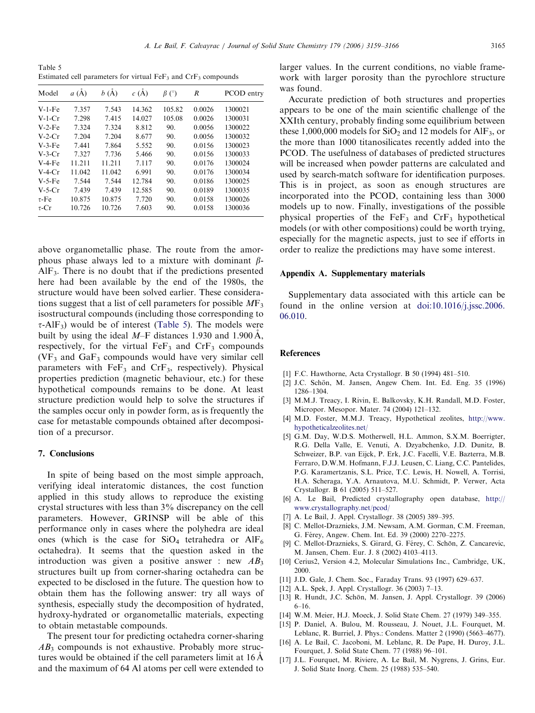<span id="page-6-0"></span>Table 5 Estimated cell parameters for virtual  $FeF<sub>3</sub>$  and  $CrF<sub>3</sub>$  compounds

| Model      | a(A)   | b(A)   | c(A)   | $\beta$ (°) | R      | PCOD entry |
|------------|--------|--------|--------|-------------|--------|------------|
| $V-1-Fe$   | 7.357  | 7.543  | 14.362 | 105.82      | 0.0026 | 1300021    |
| $V-1-Cr$   | 7.298  | 7.415  | 14.027 | 105.08      | 0.0026 | 1300031    |
| $V-2-Fe$   | 7.324  | 7.324  | 8.812  | 90.         | 0.0056 | 1300022    |
| $V-2-Cr$   | 7.204  | 7.204  | 8.677  | 90.         | 0.0056 | 1300032    |
| $V-3-Fe$   | 7.441  | 7.864  | 5.552  | 90.         | 0.0156 | 1300023    |
| $V-3-Cr$   | 7.327  | 7.736  | 5.466  | 90.         | 0.0156 | 1300033    |
| $V-4-Fe$   | 11.211 | 11.211 | 7.117  | 90.         | 0.0176 | 1300024    |
| $V-4-Cr$   | 11.042 | 11.042 | 6.991  | 90.         | 0.0176 | 1300034    |
| $V-5-Fe$   | 7.544  | 7.544  | 12.784 | 90.         | 0.0186 | 1300025    |
| $V-5-Cr$   | 7.439  | 7.439  | 12.585 | 90.         | 0.0189 | 1300035    |
| $\tau$ -Fe | 10.875 | 10.875 | 7.720  | 90.         | 0.0158 | 1300026    |
| $\tau$ -Cr | 10.726 | 10.726 | 7.603  | 90.         | 0.0158 | 1300036    |

above organometallic phase. The route from the amorphous phase always led to a mixture with dominant  $\beta$ -AlF3. There is no doubt that if the predictions presented here had been available by the end of the 1980s, the structure would have been solved earlier. These considerations suggest that a list of cell parameters for possible  $MF_3$ isostructural compounds (including those corresponding to  $\tau$ -AlF<sub>3</sub>) would be of interest (Table 5). The models were built by using the ideal  $M$ –F distances 1.930 and 1.900 Å, respectively, for the virtual FeF<sub>3</sub> and CrF<sub>3</sub> compounds  $(VF<sub>3</sub>$  and  $GaF<sub>3</sub>$  compounds would have very similar cell parameters with  $FeF<sub>3</sub>$  and  $CrF<sub>3</sub>$ , respectively). Physical properties prediction (magnetic behaviour, etc.) for these hypothetical compounds remains to be done. At least structure prediction would help to solve the structures if the samples occur only in powder form, as is frequently the case for metastable compounds obtained after decomposition of a precursor.

#### 7. Conclusions

In spite of being based on the most simple approach, verifying ideal interatomic distances, the cost function applied in this study allows to reproduce the existing crystal structures with less than 3% discrepancy on the cell parameters. However, GRINSP will be able of this performance only in cases where the polyhedra are ideal ones (which is the case for  $SiO<sub>4</sub>$  tetrahedra or  $AlF<sub>6</sub>$ octahedra). It seems that the question asked in the introduction was given a positive answer : new  $AB_3$ structures built up from corner-sharing octahedra can be expected to be disclosed in the future. The question how to obtain them has the following answer: try all ways of synthesis, especially study the decomposition of hydrated, hydroxy-hydrated or organometallic materials, expecting to obtain metastable compounds.

The present tour for predicting octahedra corner-sharing  $AB_3$  compounds is not exhaustive. Probably more structures would be obtained if the cell parameters limit at  $16A$ and the maximum of 64 Al atoms per cell were extended to larger values. In the current conditions, no viable framework with larger porosity than the pyrochlore structure was found.

Accurate prediction of both structures and properties appears to be one of the main scientific challenge of the XXIth century, probably finding some equilibrium between these 1,000,000 models for  $SiO<sub>2</sub>$  and 12 models for AlF<sub>3</sub>, or the more than 1000 titanosilicates recently added into the PCOD. The usefulness of databases of predicted structures will be increased when powder patterns are calculated and used by search-match software for identification purposes. This is in project, as soon as enough structures are incorporated into the PCOD, containing less than 3000 models up to now. Finally, investigations of the possible physical properties of the  $FeF<sub>3</sub>$  and  $CrF<sub>3</sub>$  hypothetical models (or with other compositions) could be worth trying, especially for the magnetic aspects, just to see if efforts in order to realize the predictions may have some interest.

#### Appendix A. Supplementary materials

Supplementary data associated with this article can be found in the online version at [doi:10.1016/j.jssc.2006.](dx.doi.org/10.1016/j.jssc.2006.06.010) [06.010](dx.doi.org/10.1016/j.jssc.2006.06.010).

#### References

- [1] F.C. Hawthorne, Acta Crystallogr. B 50 (1994) 481–510.
- [2] J.C. Schön, M. Jansen, Angew Chem. Int. Ed. Eng. 35 (1996) 1286–1304.
- [3] M.M.J. Treacy, I. Rivin, E. Balkovsky, K.H. Randall, M.D. Foster, Micropor. Mesopor. Mater. 74 (2004) 121–132.
- [4] M.D. Foster, M.M.J. Treacy, Hypothetical zeolites, [http://www.](http://www.hypotheticalzeolites.net/) [hypotheticalzeolites.net/](http://www.hypotheticalzeolites.net/)
- [5] G.M. Day, W.D.S. Motherwell, H.L. Ammon, S.X.M. Boerrigter, R.G. Della Valle, E. Venuti, A. Dzyabchenko, J.D. Dunitz, B. Schweizer, B.P. van Eijck, P. Erk, J.C. Facelli, V.E. Bazterra, M.B. Ferraro, D.W.M. Hofmann, F.J.J. Leusen, C. Liang, C.C. Pantelides, P.G. Karamertzanis, S.L. Price, T.C. Lewis, H. Nowell, A. Torrisi, H.A. Scheraga, Y.A. Arnautova, M.U. Schmidt, P. Verwer, Acta Crystallogr. B 61 (2005) 511–527.
- [6] A. Le Bail, Predicted crystallography open database, [http://](http://www.crystallography.net/pcod/) [www.crystallography.net/pcod/](http://www.crystallography.net/pcod/)
- [7] A. Le Bail, J. Appl. Crystallogr. 38 (2005) 389–395.
- [8] C. Mellot-Draznieks, J.M. Newsam, A.M. Gorman, C.M. Freeman, G. Férey, Angew. Chem. Int. Ed. 39 (2000) 2270-2275.
- [9] C. Mellot-Draznieks, S. Girard, G. Férey, C. Schön, Z. Cancarevic, M. Jansen, Chem. Eur. J. 8 (2002) 4103–4113.
- [10] Cerius2, Version 4.2, Molecular Simulations Inc., Cambridge, UK, 2000.
- [11] J.D. Gale, J. Chem. Soc., Faraday Trans. 93 (1997) 629-637.
- [12] A.L. Spek, J. Appl. Crystallogr. 36 (2003) 7–13.
- [13] R. Hundt, J.C. Schön, M. Jansen, J. Appl. Crystallogr. 39 (2006) 6–16.
- [14] W.M. Meier, H.J. Moeck, J. Solid State Chem. 27 (1979) 349-355.
- [15] P. Daniel, A. Bulou, M. Rousseau, J. Nouet, J.L. Fourquet, M. Leblanc, R. Burriel, J. Phys.: Condens. Matter 2 (1990) (5663–4677).
- [16] A. Le Bail, C. Jacoboni, M. Leblanc, R. De Pape, H. Duroy, J.L. Fourquet, J. Solid State Chem. 77 (1988) 96–101.
- [17] J.L. Fourquet, M. Riviere, A. Le Bail, M. Nygrens, J. Grins, Eur. J. Solid State Inorg. Chem. 25 (1988) 535–540.